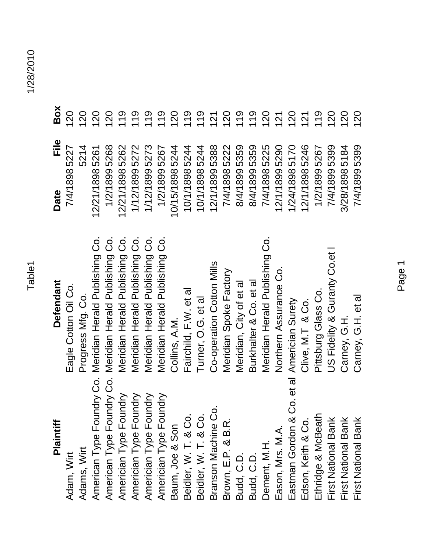| Plaintiff                                        | <b>Defendant</b>               | File<br>Date   | Box           |
|--------------------------------------------------|--------------------------------|----------------|---------------|
| Adam, Wirt                                       | Eagle Cotton Oil Co.           | 7/4/18985227   | 120           |
| Adams, Wirt                                      | Progress Mfg. Co.              | 5214           | 120           |
| American Type Foundry Co.                        | Meridian Herald Publishing Co. | 12/21/18985261 |               |
| American Type Foundry Co.                        | Meridian Herald Publishing Co. | 1/2/18995268   |               |
| Americian Type Foundry                           | Meridian Herald Publishing Co. | 12/21/18985262 |               |
|                                                  | Meridian Herald Publishing Co. | 1/12/18995272  |               |
| Americian Type Foundry<br>Americian Type Foundry | Meridian Herald Publishing Co. | 1/12/18995273  | 19            |
| Americian Type Foundry                           | Meridian Herald Publishing Co. | 1/2/18995267   |               |
| Baum, Joe & Son                                  | Collins, A.M.                  | 10/15/18985244 | 120           |
| Beidler, W. T. & Co.                             | Fairchild, F.W. et al          | 10/1/18985244  | $\frac{0}{2}$ |
| Beidler, W. T. & Co.                             | Turner, O.G. et al             | 10/1/18985244  | $\frac{0}{2}$ |
| Ċ.<br>Branson Machine                            | Co-operation Cotton Mills      | 12/1/18995388  |               |
| Brown, E.P. & B.R.                               | Meridian Spoke Factory         | 7/4/18985222   | 120           |
| Budd, C.D.                                       | Meridian, City of et al        | 8/4/18995359   | 119           |
| Budd, C.D.                                       | Burkhalter & Co. et al         | 8/4/18995359   |               |
| Dement, M.H.                                     | Meridian Herald Publishing Co. | 7/4/18985225   | 120           |
| Eason, Mrs. M.A.                                 | Northern Assurance Co.         | 12/1/18995290  | 121           |
| Eastman Gordon & Co. et al                       | Americian Surety               | 1/24/18985170  | 120           |
| Edson, Keith & Co.                               | Clive, M.T & Co.               | 12/1/18985246  | 121           |
| 오<br>Ethridge & McBeat                           | Pittsburg Glass Co.            | 1/2/18995267   | 119           |
| First National Bank                              | JS Fidelity & Guranty Co.et    | 7/4/18995399   | 120           |
| First National Bank                              | Carney, G.H.                   | 3/28/18985184  | 120           |
| First National Bank                              | Carney, G.H. et al             | 7/4/18995399   | 120           |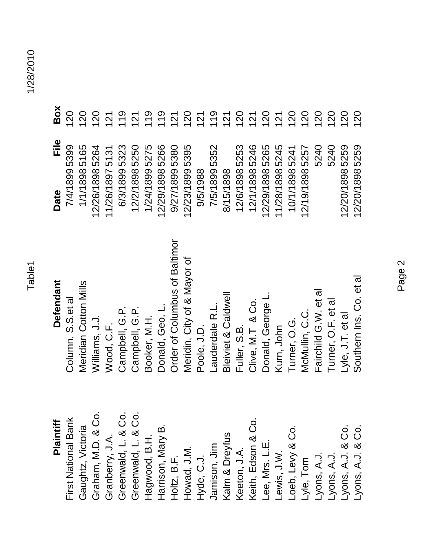## Plaintiff

Graham, M.D. & Co. Greenwald, L. & Co. Greenwald, L. & Co. Jamison, Jim<br>Kalm & Dreyfus<br>Keeton, J.A.<br>Keith, Edson & Co. First National Bank Lyons, A.J.<br>Lyons, A.J.<br>Lyons, A.J. & Co.<br>Lyons, A.J. & Co. Gaughtz, Victoria -oeb, Levy & Co. Harrison, Mary B Granberry, J.A. Hagwood, B.H. Lee, Mrs. L.E.<br>Lewis, J.W. Holtz, B.F.<br>Howad, J.M. Hyde, C.J. -yle, Tom

## **Defendant**

| Plaintiff                        | Defendant                      | File<br>Date   | Box |
|----------------------------------|--------------------------------|----------------|-----|
| First National Bank              | Column, S.S.et a               | 7/4/18995399   | 120 |
| Gaughtz, Victoria                | Meridian Cotton Mills          | 1/1/18985165   | 120 |
| Graham, M.D. & Co.               | Williams, J.J.                 | 12/26/18985264 |     |
| Granberry, J.A.                  | Wood, C.F                      | 11/26/18975131 |     |
| Greenwald, L. & Co.              | Campbell, G.P.                 | 6/3/18995323   |     |
| Greenwald, L. & Co.              | Campbell, G.P.                 | 12/2/18985250  |     |
| Hagwood, B.H.                    | Booker, M.H.                   | 1/24/18995275  |     |
| Harrison, Mary B.                | Donald, Geo. L                 | 12/29/18985266 |     |
| Holtz, B.F.                      | Order of Columbus of Baltimor  | 9/27/18995380  |     |
| Howad, J.M.                      | Meridin, City of & Mayor of    | 12/23/18995395 |     |
| Hyde, C.J.                       | Poole, J.D.                    | 9/5/1988       |     |
| Jamison, Jim                     | Lauderdale R.L                 | 7/5/18995352   |     |
| Kalm & Dreyfus                   | <b>Bleiviet &amp; Caldwell</b> | 8/15/1898      |     |
| Keeton, J.A.                     | Fuller, S.B.                   | 12/6/18985253  |     |
| Keith, Edson & Co                | Clive, M.T & Co.               | 12/1/18985246  |     |
| Lee, Mrs. L.E.                   | Donald, George                 | 12/29/18985265 |     |
| -ewis, J.W.                      | Kurn, John                     | 11/28/18985245 |     |
| -oeb, Levy & Co.                 | Turner, O.G.                   | 10/1/18985241  |     |
| Lyle, Tom                        | McMullin, C.C.                 | 12/19/18985257 |     |
| Lyons, A.J.                      | Fairchild G.W. et al           | 5240           |     |
|                                  | Turner, O.F. et al             | 5240           | 120 |
| Lyons, A.J.<br>Lyons, A.J. & Co. | Lyle, J.T. et al               | 12/20/18985259 | 120 |
| Lyons, A.J. & Co.                | Southern Ins. Co. et al        | 12/20/18985259 | 120 |

| Φ<br>$\mathbf{\Omega}$<br>ო<br>≔<br>ო<br>ഥ<br>ഗ<br>$\frac{6}{4}$<br>ഥ<br>ഗ<br>ഥ<br>ᡪ<br>LQ<br>0<br>◯<br>တ<br>$\sim$<br>$\overline{\phantom{0}}$<br>ᅮ<br>4<br>4<br>Ō<br>5<br>$\overline{4}$<br>$\overline{4}$<br>5<br>Ö<br>ய<br>ဖ<br>က<br>LO.<br>တ<br>ဖ<br>$\mathbf{\Omega}$<br>ဖ<br>$\infty$<br>LO.<br>$\overline{\phantom{0}}$<br>$\mathbf{\Omega}$<br>ო<br>$\mathbf{\Omega}$<br>$\mathbf{\Omega}$<br>$\mathbf{\Omega}$<br>$\infty$<br>$\infty$<br>$\mathbf{\Omega}$<br>$\mathbf{\Omega}$<br>$\mathbf{\Omega}$<br>$\mathbf{\Omega}$<br>$\mathsf{\Omega}$<br>$\mathbf{\Omega}$<br>ო<br>ო<br>$\mathbf{\Omega}$<br>$\overline{\phantom{0}}$<br>$\mathbf{\Omega}$<br>$\overline{\phantom{0}}$<br>LO.<br>LO.<br>LO.<br>LO.<br>ഹ<br>LO.<br>LO<br>LO.<br>LO.<br>LO.<br>LO.<br>LO<br>LO.<br><u>ιο</u><br>LO.<br>ഹ<br>LO.<br>ഥ<br>ഹ<br>$\infty$<br>$\infty$<br>တ<br>$\infty$<br>∞<br>$\infty$<br>တ<br>$\infty$<br>∞<br>∞<br>တ<br>တ<br>$\infty$<br>∞<br>∞<br>တ<br>$\infty$<br>တ<br>$\overline{\phantom{0}}$<br>$\infty$<br>တ<br>တ<br>တ<br>တ<br>တ<br>တ<br>တ<br>တ<br>တ<br>တ<br>တ<br>တ<br>တ<br>တ<br>တ<br>$\sigma$<br>တ<br>တ<br>တ<br>$\infty$<br>$\infty$<br>$\infty$<br>$\infty$<br>$\infty$<br>$\infty$<br>$\infty$<br>$\infty$<br>$\infty$<br>$\infty$<br>$\infty$<br>$\infty$<br>$\infty$<br>$\infty$<br>$\infty$<br>$\infty$<br>$\infty$<br>$\infty$<br>1/26/1<br>1/24/1<br>2/29/1<br>7/4/1<br>2/2/1<br>9/27/1<br>9/5/1<br>7/5/1<br>12/6/1<br>12/1/1<br>0/1/1<br>1/1/1<br>2/26/1<br>6/3/1<br>2/23/1<br>8/15/1<br>2/29/1<br>1/28/1<br>ニ<br>Date<br>$\frac{6}{1}$<br>$\overline{\phantom{0}}$<br>$\mathbf{\Omega}$<br>$\overline{\phantom{0}}$<br>$\overline{\phantom{0}}$<br>$\overline{\phantom{0}}$ | ×<br>O<br>B | ⊃<br>$\mathbf{\sim}$ | $\sim$ | O<br>$\mathbf{\Omega}$ | $\overline{ }$<br>$\sim$ | တ.<br>$\overline{\phantom{0}}$ | $\overline{ }$<br>$\sim$ | $\overline{\phantom{0}}$ | $\circledcirc \circledcirc \circledcirc \circledcirc \circledcirc$<br>$\overline{\phantom{0}}$ | $\mathbf{\Omega}$ | $\sim$ | $\sim$ | $\sim \infty$<br>$\overline{\phantom{a}}$ | $\overline{\phantom{0}}$ | $\mathbf{\Omega}$ | $\sim$ | $\sim$<br>$\overline{\phantom{0}}$ | $\overline{\phantom{0}}$<br>$\mathbf{\Omega}$ | $\circ$<br>$\sim$ | $\circ$<br>$\mathbf{\Omega}$ | O<br>$\mathbf{\Omega}$ | $\mathbf{\Omega}$ | $\circ$<br>$\mathbf{\Omega}$                                                             |
|----------------------------------------------------------------------------------------------------------------------------------------------------------------------------------------------------------------------------------------------------------------------------------------------------------------------------------------------------------------------------------------------------------------------------------------------------------------------------------------------------------------------------------------------------------------------------------------------------------------------------------------------------------------------------------------------------------------------------------------------------------------------------------------------------------------------------------------------------------------------------------------------------------------------------------------------------------------------------------------------------------------------------------------------------------------------------------------------------------------------------------------------------------------------------------------------------------------------------------------------------------------------------------------------------------------------------------------------------------------------------------------------------------------------------------------------------------------------------------------------------------------------------------------------------------------------------------------------------------------------------------------------------------------------------------------------|-------------|----------------------|--------|------------------------|--------------------------|--------------------------------|--------------------------|--------------------------|------------------------------------------------------------------------------------------------|-------------------|--------|--------|-------------------------------------------|--------------------------|-------------------|--------|------------------------------------|-----------------------------------------------|-------------------|------------------------------|------------------------|-------------------|------------------------------------------------------------------------------------------|
|                                                                                                                                                                                                                                                                                                                                                                                                                                                                                                                                                                                                                                                                                                                                                                                                                                                                                                                                                                                                                                                                                                                                                                                                                                                                                                                                                                                                                                                                                                                                                                                                                                                                                              |             |                      |        |                        |                          |                                |                          |                          |                                                                                                |                   |        |        |                                           |                          |                   |        |                                    |                                               |                   |                              |                        |                   | တ<br>LO.<br>$\mathbf{\Omega}$<br>LO.<br>$\infty$<br>$\overline{O}$<br>$\infty$<br>2/20/1 |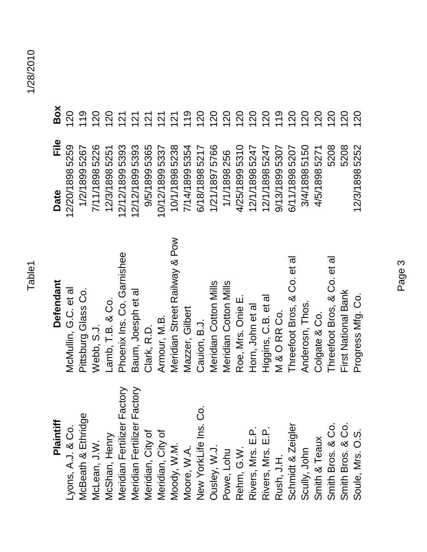Box **120** 

Eile

Date

18985259

 $119$ 120 120

 $121$ 

## Plaintiff

## **Plaintiff Defendant Date File Box Defendant**

| Lyons, A.J. & Co.                      | McMullin, G.C. et al          | 12/20/18985259 | <b>021</b>     |
|----------------------------------------|-------------------------------|----------------|----------------|
| $\overline{9}$<br>McBeath & Ethrid     | Pittsburg Glass Co.           | 1/2/18995267   | $\frac{6}{10}$ |
| McLean, J.W.                           | Webb, S.J.                    | 7/11/18985226  | $\overline{0}$ |
| VicShan, Henry                         | Lamb, T.B. & Co.              | 12/3/18985251  | 120            |
| Meridian Fertilizer Factory            | Phoenix Ins. Co. Garnishee    | 12/12/18995393 | 121            |
| r Factory<br>Meridian Fertilize        | Baum, Joesph et al            | 12/12/18995393 | 121            |
| Meridian, City of                      | Clark, R.D.                   | 9/5/18995365   | 121            |
| Meridian, City of                      | Armour, M.B.                  | 10/12/18995337 | 121            |
| Moody, W.M.                            | Meridian Street Railway & Pow | 10/1/18985238  | 121            |
| Moore, W.A.                            | Mazzer, Gilbert               | 7/14/18995354  | 119            |
| .<br>ت<br>New YorkLife Ins.            | Cauion, B.J.                  | 6/18/18985217  | <b>021</b>     |
| Ousley, W.J.                           | Meridian Cotton Mills         | 1/21/18975766  | <b>0Z1</b>     |
| Powe, Lohu                             | Meridian Cotton Mills         | 1/1/1898256    | <b>021</b>     |
| Rehm, G.W.                             | Roe, Mrs. Onie E.             | 4/25/18995310  | <b>120</b>     |
|                                        | Horn, John et al              | 12/1/18985247  | 120            |
| Rivers, Mrs. E.P.<br>Rivers, Mrs. E.P. | Higgins, C.B. et al           | 12/1/18985247  | 120            |
| Rush, J.H.                             | M & O RR Co.                  | 9/13/18995307  | $\frac{6}{10}$ |
| Schmidt & Zeigler                      | Threefoot Bros, & Co. et al   | 6/11/18985207  | <b>021</b>     |
| Scully, John                           | Anderosn, Thos.               | 3/4/18985150   | 120            |
| Smith & Teaux                          | Colgate & Co.                 | 4/5/18985271   | 120            |
| Smith Bros. & Co                       | Threefoot Bros, & Co. et al   | 5208           | <b>021</b>     |
| Smith Bros. & Co                       | First National Bank           | 5208           | <b>021</b>     |
| Soule, Mrs. O.S.                       | Progress Mfg. Co.             | 12/3/18985252  | <b>021</b>     |

 $119$ 120

**120**<br>120

120 120 120  $119$ 120 120 120 120 120

120